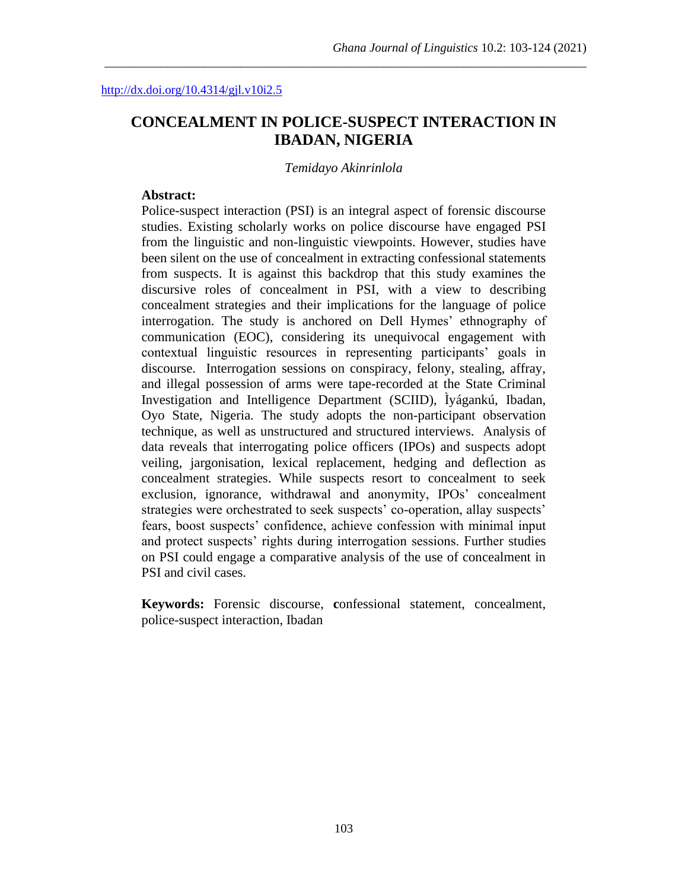# **CONCEALMENT IN POLICE-SUSPECT INTERACTION IN IBADAN, NIGERIA**

\_\_\_\_\_\_\_\_\_\_\_\_\_\_\_\_\_\_\_\_\_\_\_\_\_\_\_\_\_\_\_\_\_\_\_\_\_\_\_\_\_\_\_\_\_\_\_\_\_\_\_\_\_\_\_\_\_\_\_\_\_\_\_\_\_\_\_\_\_\_\_\_\_\_\_\_\_\_

#### *Temidayo Akinrinlola*

#### **Abstract:**

Police-suspect interaction (PSI) is an integral aspect of forensic discourse studies. Existing scholarly works on police discourse have engaged PSI from the linguistic and non-linguistic viewpoints. However, studies have been silent on the use of concealment in extracting confessional statements from suspects. It is against this backdrop that this study examines the discursive roles of concealment in PSI, with a view to describing concealment strategies and their implications for the language of police interrogation. The study is anchored on Dell Hymes' ethnography of communication (EOC), considering its unequivocal engagement with contextual linguistic resources in representing participants' goals in discourse. Interrogation sessions on conspiracy, felony, stealing, affray, and illegal possession of arms were tape-recorded at the State Criminal Investigation and Intelligence Department (SCIID), Ìyágankú, Ibadan, Oyo State, Nigeria. The study adopts the non-participant observation technique, as well as unstructured and structured interviews. Analysis of data reveals that interrogating police officers (IPOs) and suspects adopt veiling, jargonisation, lexical replacement, hedging and deflection as concealment strategies. While suspects resort to concealment to seek exclusion, ignorance, withdrawal and anonymity, IPOs' concealment strategies were orchestrated to seek suspects' co-operation, allay suspects' fears, boost suspects' confidence, achieve confession with minimal input and protect suspects' rights during interrogation sessions. Further studies on PSI could engage a comparative analysis of the use of concealment in PSI and civil cases.

**Keywords:** Forensic discourse, **c**onfessional statement, concealment, police-suspect interaction, Ibadan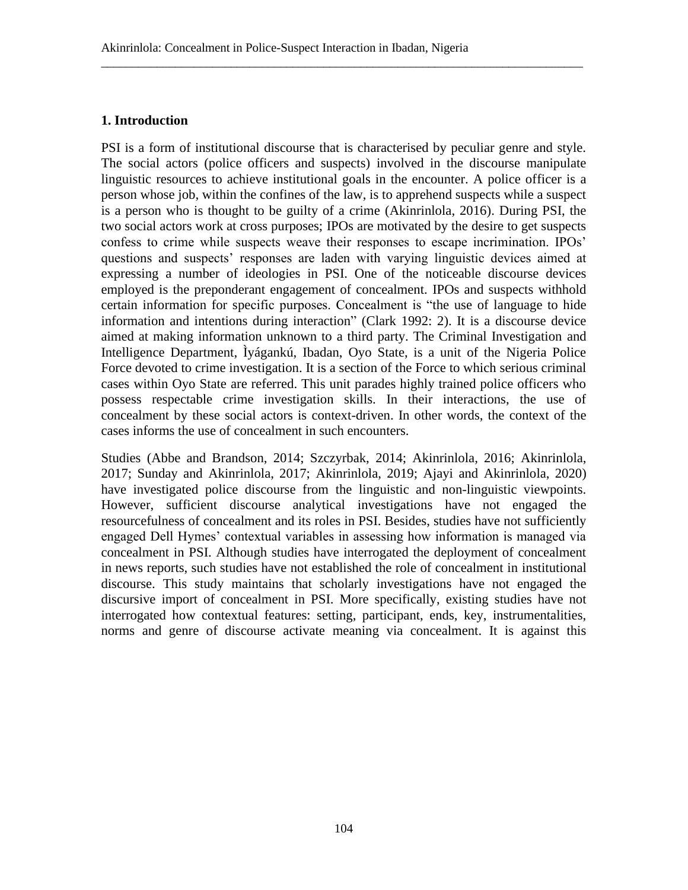## **1. Introduction**

PSI is a form of institutional discourse that is characterised by peculiar genre and style. The social actors (police officers and suspects) involved in the discourse manipulate linguistic resources to achieve institutional goals in the encounter. A police officer is a person whose job, within the confines of the law, is to apprehend suspects while a suspect is a person who is thought to be guilty of a crime (Akinrinlola, 2016). During PSI, the two social actors work at cross purposes; IPOs are motivated by the desire to get suspects confess to crime while suspects weave their responses to escape incrimination. IPOs' questions and suspects' responses are laden with varying linguistic devices aimed at expressing a number of ideologies in PSI. One of the noticeable discourse devices employed is the preponderant engagement of concealment. IPOs and suspects withhold certain information for specific purposes. Concealment is "the use of language to hide information and intentions during interaction" (Clark 1992: 2). It is a discourse device aimed at making information unknown to a third party. The Criminal Investigation and Intelligence Department, Ìyágankú, Ibadan, Oyo State, is a unit of the Nigeria Police Force devoted to crime investigation. It is a section of the Force to which serious criminal cases within Oyo State are referred. This unit parades highly trained police officers who possess respectable crime investigation skills. In their interactions, the use of concealment by these social actors is context-driven. In other words, the context of the cases informs the use of concealment in such encounters.

\_\_\_\_\_\_\_\_\_\_\_\_\_\_\_\_\_\_\_\_\_\_\_\_\_\_\_\_\_\_\_\_\_\_\_\_\_\_\_\_\_\_\_\_\_\_\_\_\_\_\_\_\_\_\_\_\_\_\_\_\_\_\_\_\_\_\_\_\_\_\_\_\_\_\_\_\_\_

Studies (Abbe and Brandson, 2014; Szczyrbak, 2014; Akinrinlola, 2016; Akinrinlola, 2017; Sunday and Akinrinlola, 2017; Akinrinlola, 2019; Ajayi and Akinrinlola, 2020) have investigated police discourse from the linguistic and non-linguistic viewpoints. However, sufficient discourse analytical investigations have not engaged the resourcefulness of concealment and its roles in PSI. Besides, studies have not sufficiently engaged Dell Hymes' contextual variables in assessing how information is managed via concealment in PSI. Although studies have interrogated the deployment of concealment in news reports, such studies have not established the role of concealment in institutional discourse. This study maintains that scholarly investigations have not engaged the discursive import of concealment in PSI. More specifically, existing studies have not interrogated how contextual features: setting, participant, ends, key, instrumentalities, norms and genre of discourse activate meaning via concealment. It is against this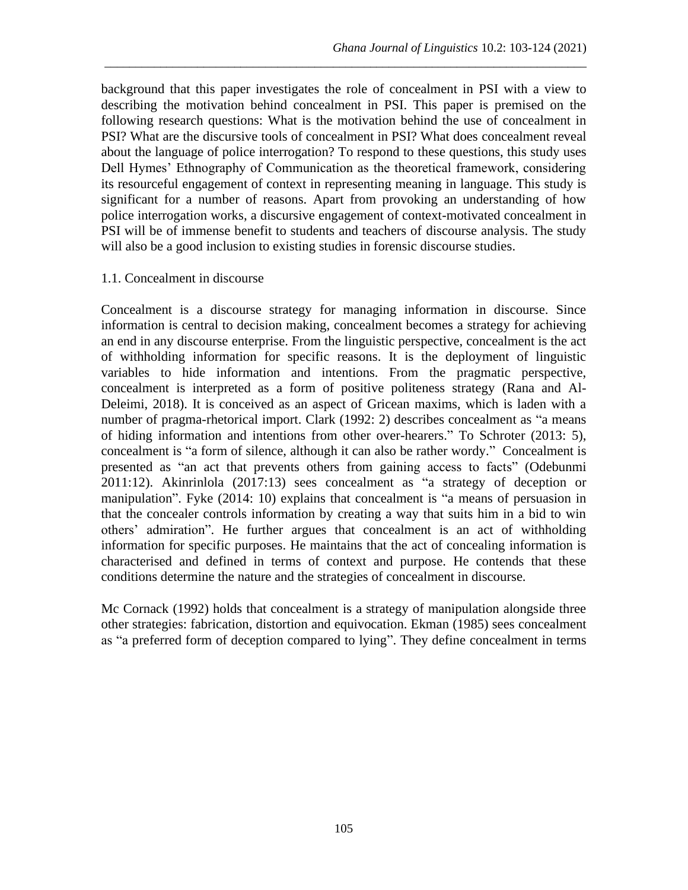background that this paper investigates the role of concealment in PSI with a view to describing the motivation behind concealment in PSI. This paper is premised on the following research questions: What is the motivation behind the use of concealment in PSI? What are the discursive tools of concealment in PSI? What does concealment reveal about the language of police interrogation? To respond to these questions, this study uses Dell Hymes' Ethnography of Communication as the theoretical framework, considering its resourceful engagement of context in representing meaning in language. This study is significant for a number of reasons. Apart from provoking an understanding of how police interrogation works, a discursive engagement of context-motivated concealment in PSI will be of immense benefit to students and teachers of discourse analysis. The study will also be a good inclusion to existing studies in forensic discourse studies.

\_\_\_\_\_\_\_\_\_\_\_\_\_\_\_\_\_\_\_\_\_\_\_\_\_\_\_\_\_\_\_\_\_\_\_\_\_\_\_\_\_\_\_\_\_\_\_\_\_\_\_\_\_\_\_\_\_\_\_\_\_\_\_\_\_\_\_\_\_\_\_\_\_\_\_\_\_\_

#### 1.1. Concealment in discourse

Concealment is a discourse strategy for managing information in discourse. Since information is central to decision making, concealment becomes a strategy for achieving an end in any discourse enterprise. From the linguistic perspective, concealment is the act of withholding information for specific reasons. It is the deployment of linguistic variables to hide information and intentions. From the pragmatic perspective, concealment is interpreted as a form of positive politeness strategy (Rana and Al-Deleimi, 2018). It is conceived as an aspect of Gricean maxims, which is laden with a number of pragma-rhetorical import. Clark (1992: 2) describes concealment as "a means of hiding information and intentions from other over-hearers." To Schroter (2013: 5), concealment is "a form of silence, although it can also be rather wordy." Concealment is presented as "an act that prevents others from gaining access to facts" (Odebunmi 2011:12). Akinrinlola (2017:13) sees concealment as "a strategy of deception or manipulation". Fyke (2014: 10) explains that concealment is "a means of persuasion in that the concealer controls information by creating a way that suits him in a bid to win others' admiration". He further argues that concealment is an act of withholding information for specific purposes. He maintains that the act of concealing information is characterised and defined in terms of context and purpose. He contends that these conditions determine the nature and the strategies of concealment in discourse.

Mc Cornack (1992) holds that concealment is a strategy of manipulation alongside three other strategies: fabrication, distortion and equivocation. Ekman (1985) sees concealment as "a preferred form of deception compared to lying". They define concealment in terms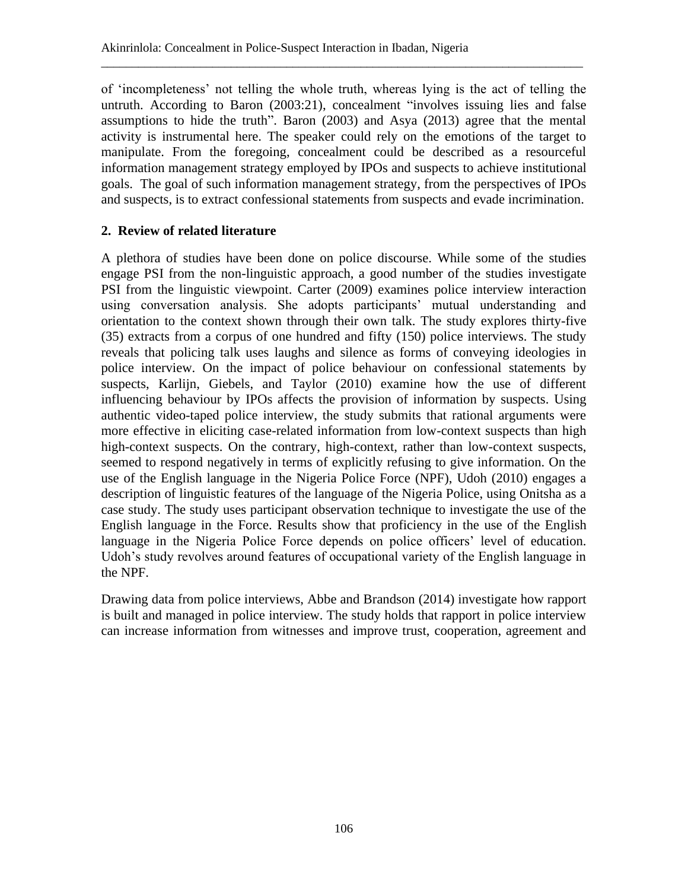of 'incompleteness' not telling the whole truth, whereas lying is the act of telling the untruth. According to Baron (2003:21), concealment "involves issuing lies and false assumptions to hide the truth". Baron (2003) and Asya (2013) agree that the mental activity is instrumental here. The speaker could rely on the emotions of the target to manipulate. From the foregoing, concealment could be described as a resourceful information management strategy employed by IPOs and suspects to achieve institutional goals. The goal of such information management strategy, from the perspectives of IPOs and suspects, is to extract confessional statements from suspects and evade incrimination.

\_\_\_\_\_\_\_\_\_\_\_\_\_\_\_\_\_\_\_\_\_\_\_\_\_\_\_\_\_\_\_\_\_\_\_\_\_\_\_\_\_\_\_\_\_\_\_\_\_\_\_\_\_\_\_\_\_\_\_\_\_\_\_\_\_\_\_\_\_\_\_\_\_\_\_\_\_\_

## **2. Review of related literature**

A plethora of studies have been done on police discourse. While some of the studies engage PSI from the non-linguistic approach, a good number of the studies investigate PSI from the linguistic viewpoint. Carter (2009) examines police interview interaction using conversation analysis. She adopts participants' mutual understanding and orientation to the context shown through their own talk. The study explores thirty-five (35) extracts from a corpus of one hundred and fifty (150) police interviews. The study reveals that policing talk uses laughs and silence as forms of conveying ideologies in police interview. On the impact of police behaviour on confessional statements by suspects, Karlijn, Giebels, and Taylor (2010) examine how the use of different influencing behaviour by IPOs affects the provision of information by suspects. Using authentic video-taped police interview, the study submits that rational arguments were more effective in eliciting case-related information from low-context suspects than high high-context suspects. On the contrary, high-context, rather than low-context suspects, seemed to respond negatively in terms of explicitly refusing to give information. On the use of the English language in the Nigeria Police Force (NPF), Udoh (2010) engages a description of linguistic features of the language of the Nigeria Police, using Onitsha as a case study. The study uses participant observation technique to investigate the use of the English language in the Force. Results show that proficiency in the use of the English language in the Nigeria Police Force depends on police officers' level of education. Udoh's study revolves around features of occupational variety of the English language in the NPF.

Drawing data from police interviews, Abbe and Brandson (2014) investigate how rapport is built and managed in police interview. The study holds that rapport in police interview can increase information from witnesses and improve trust, cooperation, agreement and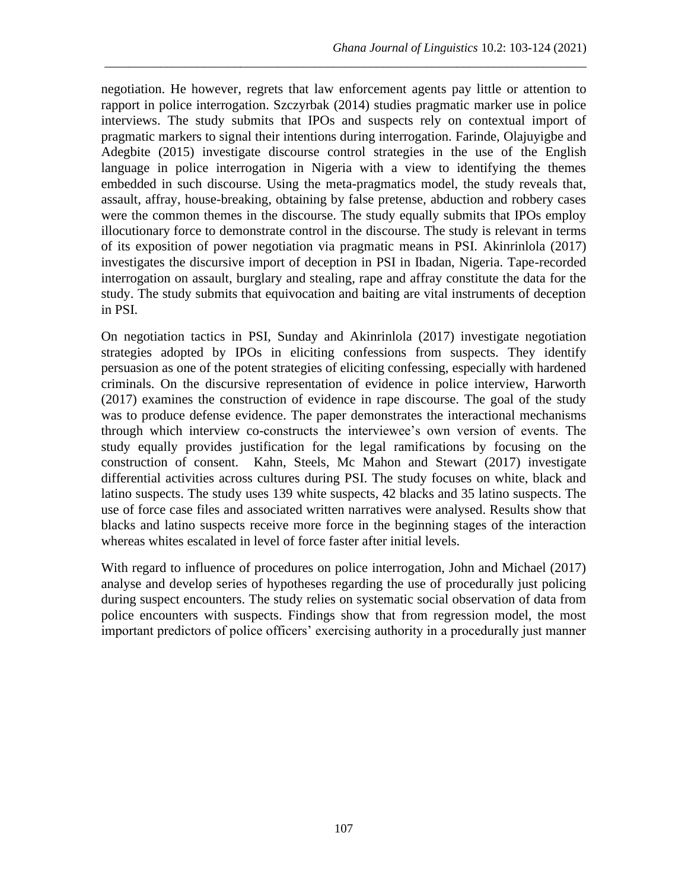negotiation. He however, regrets that law enforcement agents pay little or attention to rapport in police interrogation. Szczyrbak (2014) studies pragmatic marker use in police interviews. The study submits that IPOs and suspects rely on contextual import of pragmatic markers to signal their intentions during interrogation. Farinde, Olajuyigbe and Adegbite (2015) investigate discourse control strategies in the use of the English language in police interrogation in Nigeria with a view to identifying the themes embedded in such discourse. Using the meta-pragmatics model, the study reveals that, assault, affray, house-breaking, obtaining by false pretense, abduction and robbery cases were the common themes in the discourse. The study equally submits that IPOs employ illocutionary force to demonstrate control in the discourse. The study is relevant in terms of its exposition of power negotiation via pragmatic means in PSI. Akinrinlola (2017) investigates the discursive import of deception in PSI in Ibadan, Nigeria. Tape-recorded interrogation on assault, burglary and stealing, rape and affray constitute the data for the study. The study submits that equivocation and baiting are vital instruments of deception in PSI.

\_\_\_\_\_\_\_\_\_\_\_\_\_\_\_\_\_\_\_\_\_\_\_\_\_\_\_\_\_\_\_\_\_\_\_\_\_\_\_\_\_\_\_\_\_\_\_\_\_\_\_\_\_\_\_\_\_\_\_\_\_\_\_\_\_\_\_\_\_\_\_\_\_\_\_\_\_\_

On negotiation tactics in PSI, Sunday and Akinrinlola (2017) investigate negotiation strategies adopted by IPOs in eliciting confessions from suspects. They identify persuasion as one of the potent strategies of eliciting confessing, especially with hardened criminals. On the discursive representation of evidence in police interview, Harworth (2017) examines the construction of evidence in rape discourse. The goal of the study was to produce defense evidence. The paper demonstrates the interactional mechanisms through which interview co-constructs the interviewee's own version of events. The study equally provides justification for the legal ramifications by focusing on the construction of consent. Kahn, Steels, Mc Mahon and Stewart (2017) investigate differential activities across cultures during PSI. The study focuses on white, black and latino suspects. The study uses 139 white suspects, 42 blacks and 35 latino suspects. The use of force case files and associated written narratives were analysed. Results show that blacks and latino suspects receive more force in the beginning stages of the interaction whereas whites escalated in level of force faster after initial levels.

With regard to influence of procedures on police interrogation, John and Michael (2017) analyse and develop series of hypotheses regarding the use of procedurally just policing during suspect encounters. The study relies on systematic social observation of data from police encounters with suspects. Findings show that from regression model, the most important predictors of police officers' exercising authority in a procedurally just manner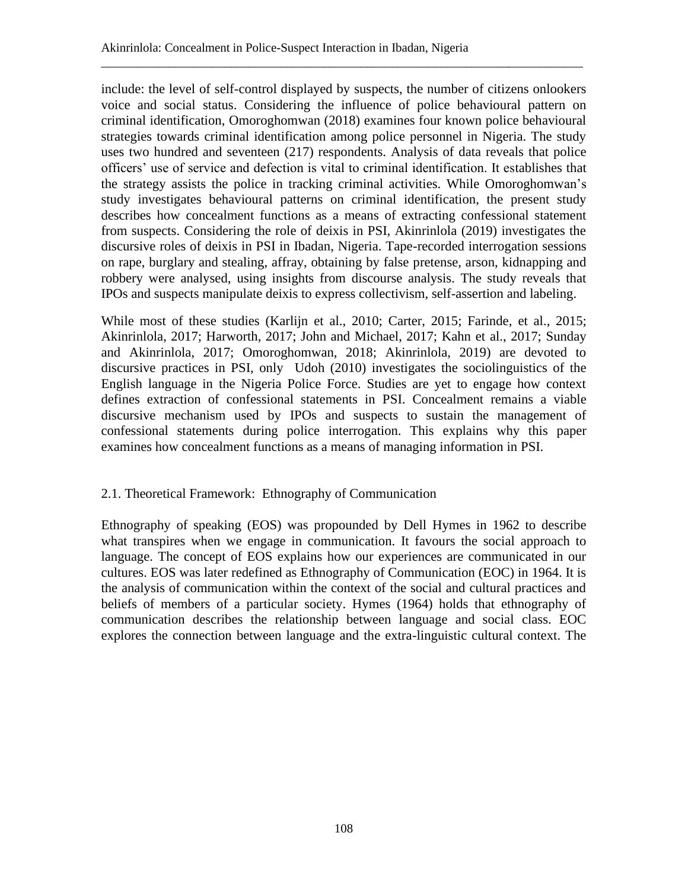include: the level of self-control displayed by suspects, the number of citizens onlookers voice and social status. Considering the influence of police behavioural pattern on criminal identification, Omoroghomwan (2018) examines four known police behavioural strategies towards criminal identification among police personnel in Nigeria. The study uses two hundred and seventeen (217) respondents. Analysis of data reveals that police officers' use of service and defection is vital to criminal identification. It establishes that the strategy assists the police in tracking criminal activities. While Omoroghomwan's study investigates behavioural patterns on criminal identification, the present study describes how concealment functions as a means of extracting confessional statement from suspects. Considering the role of deixis in PSI, Akinrinlola (2019) investigates the discursive roles of deixis in PSI in Ibadan, Nigeria. Tape-recorded interrogation sessions on rape, burglary and stealing, affray, obtaining by false pretense, arson, kidnapping and robbery were analysed, using insights from discourse analysis. The study reveals that IPOs and suspects manipulate deixis to express collectivism, self-assertion and labeling.

\_\_\_\_\_\_\_\_\_\_\_\_\_\_\_\_\_\_\_\_\_\_\_\_\_\_\_\_\_\_\_\_\_\_\_\_\_\_\_\_\_\_\_\_\_\_\_\_\_\_\_\_\_\_\_\_\_\_\_\_\_\_\_\_\_\_\_\_\_\_\_\_\_\_\_\_\_\_

While most of these studies (Karlijn et al., 2010; Carter, 2015; Farinde, et al., 2015; Akinrinlola, 2017; Harworth, 2017; John and Michael, 2017; Kahn et al., 2017; Sunday and Akinrinlola, 2017; Omoroghomwan, 2018; Akinrinlola, 2019) are devoted to discursive practices in PSI, only Udoh (2010) investigates the sociolinguistics of the English language in the Nigeria Police Force. Studies are yet to engage how context defines extraction of confessional statements in PSI. Concealment remains a viable discursive mechanism used by IPOs and suspects to sustain the management of confessional statements during police interrogation. This explains why this paper examines how concealment functions as a means of managing information in PSI.

## 2.1. Theoretical Framework: Ethnography of Communication

Ethnography of speaking (EOS) was propounded by Dell Hymes in 1962 to describe what transpires when we engage in communication. It favours the social approach to language. The concept of EOS explains how our experiences are communicated in our cultures. EOS was later redefined as Ethnography of Communication (EOC) in 1964. It is the analysis of communication within the context of the social and cultural practices and beliefs of members of a particular society. Hymes (1964) holds that ethnography of communication describes the relationship between language and social class. EOC explores the connection between language and the extra-linguistic cultural context. The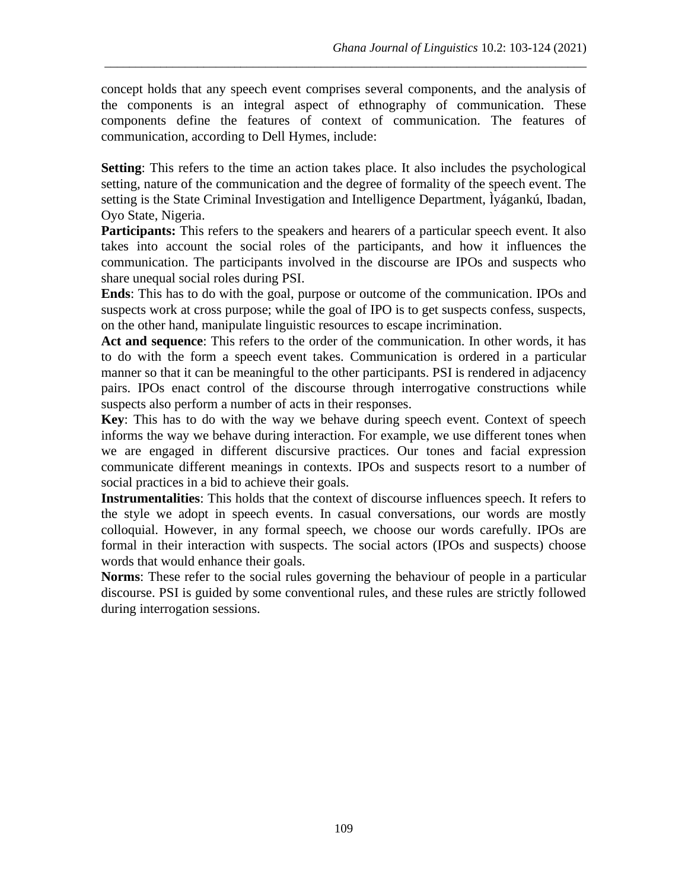concept holds that any speech event comprises several components, and the analysis of the components is an integral aspect of ethnography of communication. These components define the features of context of communication. The features of communication, according to Dell Hymes, include:

\_\_\_\_\_\_\_\_\_\_\_\_\_\_\_\_\_\_\_\_\_\_\_\_\_\_\_\_\_\_\_\_\_\_\_\_\_\_\_\_\_\_\_\_\_\_\_\_\_\_\_\_\_\_\_\_\_\_\_\_\_\_\_\_\_\_\_\_\_\_\_\_\_\_\_\_\_\_

**Setting**: This refers to the time an action takes place. It also includes the psychological setting, nature of the communication and the degree of formality of the speech event. The setting is the State Criminal Investigation and Intelligence Department, Ìyágankú, Ibadan, Oyo State, Nigeria.

**Participants:** This refers to the speakers and hearers of a particular speech event. It also takes into account the social roles of the participants, and how it influences the communication. The participants involved in the discourse are IPOs and suspects who share unequal social roles during PSI.

**Ends**: This has to do with the goal, purpose or outcome of the communication. IPOs and suspects work at cross purpose; while the goal of IPO is to get suspects confess, suspects, on the other hand, manipulate linguistic resources to escape incrimination.

**Act and sequence**: This refers to the order of the communication. In other words, it has to do with the form a speech event takes. Communication is ordered in a particular manner so that it can be meaningful to the other participants. PSI is rendered in adjacency pairs. IPOs enact control of the discourse through interrogative constructions while suspects also perform a number of acts in their responses.

**Key**: This has to do with the way we behave during speech event. Context of speech informs the way we behave during interaction. For example, we use different tones when we are engaged in different discursive practices. Our tones and facial expression communicate different meanings in contexts. IPOs and suspects resort to a number of social practices in a bid to achieve their goals.

**Instrumentalities**: This holds that the context of discourse influences speech. It refers to the style we adopt in speech events. In casual conversations, our words are mostly colloquial. However, in any formal speech, we choose our words carefully. IPOs are formal in their interaction with suspects. The social actors (IPOs and suspects) choose words that would enhance their goals.

**Norms**: These refer to the social rules governing the behaviour of people in a particular discourse. PSI is guided by some conventional rules, and these rules are strictly followed during interrogation sessions.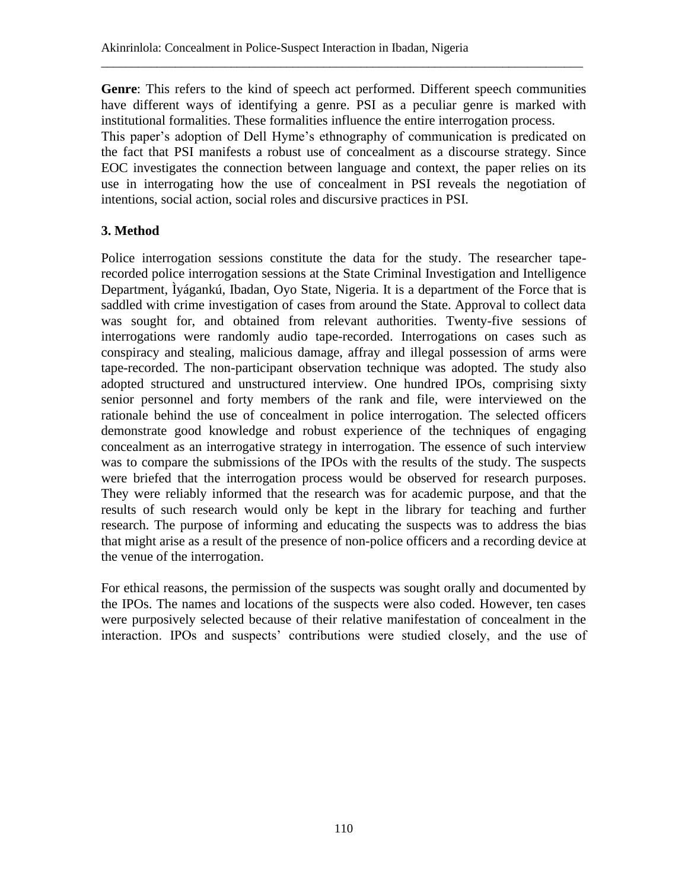**Genre**: This refers to the kind of speech act performed. Different speech communities have different ways of identifying a genre. PSI as a peculiar genre is marked with institutional formalities. These formalities influence the entire interrogation process.

\_\_\_\_\_\_\_\_\_\_\_\_\_\_\_\_\_\_\_\_\_\_\_\_\_\_\_\_\_\_\_\_\_\_\_\_\_\_\_\_\_\_\_\_\_\_\_\_\_\_\_\_\_\_\_\_\_\_\_\_\_\_\_\_\_\_\_\_\_\_\_\_\_\_\_\_\_\_

This paper's adoption of Dell Hyme's ethnography of communication is predicated on the fact that PSI manifests a robust use of concealment as a discourse strategy. Since EOC investigates the connection between language and context, the paper relies on its use in interrogating how the use of concealment in PSI reveals the negotiation of intentions, social action, social roles and discursive practices in PSI.

## **3. Method**

Police interrogation sessions constitute the data for the study. The researcher taperecorded police interrogation sessions at the State Criminal Investigation and Intelligence Department, Ìyágankú, Ibadan, Oyo State, Nigeria. It is a department of the Force that is saddled with crime investigation of cases from around the State. Approval to collect data was sought for, and obtained from relevant authorities. Twenty-five sessions of interrogations were randomly audio tape-recorded. Interrogations on cases such as conspiracy and stealing, malicious damage, affray and illegal possession of arms were tape-recorded. The non-participant observation technique was adopted. The study also adopted structured and unstructured interview. One hundred IPOs, comprising sixty senior personnel and forty members of the rank and file, were interviewed on the rationale behind the use of concealment in police interrogation. The selected officers demonstrate good knowledge and robust experience of the techniques of engaging concealment as an interrogative strategy in interrogation. The essence of such interview was to compare the submissions of the IPOs with the results of the study. The suspects were briefed that the interrogation process would be observed for research purposes. They were reliably informed that the research was for academic purpose, and that the results of such research would only be kept in the library for teaching and further research. The purpose of informing and educating the suspects was to address the bias that might arise as a result of the presence of non-police officers and a recording device at the venue of the interrogation.

For ethical reasons, the permission of the suspects was sought orally and documented by the IPOs. The names and locations of the suspects were also coded. However, ten cases were purposively selected because of their relative manifestation of concealment in the interaction. IPOs and suspects' contributions were studied closely, and the use of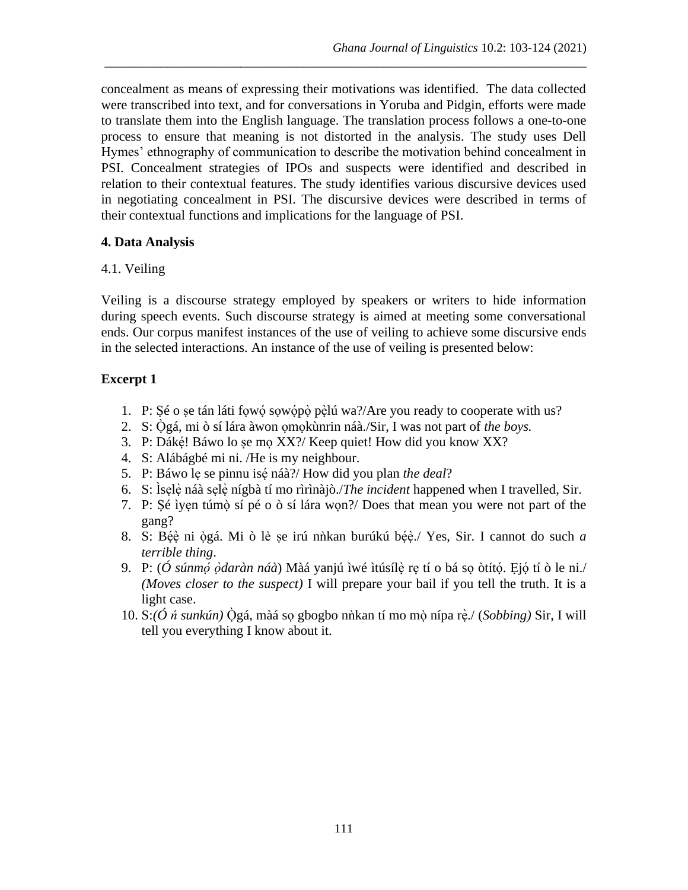concealment as means of expressing their motivations was identified. The data collected were transcribed into text, and for conversations in Yoruba and Pidgin, efforts were made to translate them into the English language. The translation process follows a one-to-one process to ensure that meaning is not distorted in the analysis. The study uses Dell Hymes' ethnography of communication to describe the motivation behind concealment in PSI. Concealment strategies of IPOs and suspects were identified and described in relation to their contextual features. The study identifies various discursive devices used in negotiating concealment in PSI. The discursive devices were described in terms of their contextual functions and implications for the language of PSI.

\_\_\_\_\_\_\_\_\_\_\_\_\_\_\_\_\_\_\_\_\_\_\_\_\_\_\_\_\_\_\_\_\_\_\_\_\_\_\_\_\_\_\_\_\_\_\_\_\_\_\_\_\_\_\_\_\_\_\_\_\_\_\_\_\_\_\_\_\_\_\_\_\_\_\_\_\_\_

### **4. Data Analysis**

#### 4.1. Veiling

Veiling is a discourse strategy employed by speakers or writers to hide information during speech events. Such discourse strategy is aimed at meeting some conversational ends. Our corpus manifest instances of the use of veiling to achieve some discursive ends in the selected interactions. An instance of the use of veiling is presented below:

### **Excerpt 1**

- 1. P: Șé o șe tán láti fowó sowópò pèlú wa?/Are you ready to cooperate with us?
- 2. S: Ògá, mi ò sí lára àwon ọmọkùnrin náà./Sir, I was not part of *the boys*.
- 3. P: Dákẹ́! Báwo lo ṣe mọ XX?/ Keep quiet! How did you know XX?
- 4. S: Alábágbé mi ni. /He is my neighbour.
- 5. P: Báwo lẹ se pinnu isẹ́ náà?/ How did you plan *the deal*?
- 6. S: Ìsẹlẹ̀ náà sẹlẹ̀ nígbà tí mo rìrìnàjò./*The incident* happened when I travelled, Sir.
- 7. P: Ṣé ìyẹn túmò ̣sí pé o ò sí lára wọn?/ Does that mean you were not part of the gang?
- 8. S: Bẹ́ẹ̀ ni ògá. Mi ̣ ò lè ṣe irú nǹkan burúkú bẹ́ẹ̀ ./ Yes, Sir. I cannot do such *a terrible thing*.
- 9. P: (*Ó súnmo ̣́ ọ̀daràn náà*) Màá yanjú ìwé ìtúsílẹ̀ rẹ tí o bá sọ òtítọ́ . Ẹjọ́ tí ò le ni./ *(Moves closer to the suspect)* I will prepare your bail if you tell the truth. It is a light case.
- 10. S:(Ó *ń sunkún*) Ògá, màá sọ gbogbo nhkan tí mo mò nípa rè./ (*Sobbing*) Sir, I will tell you everything I know about it.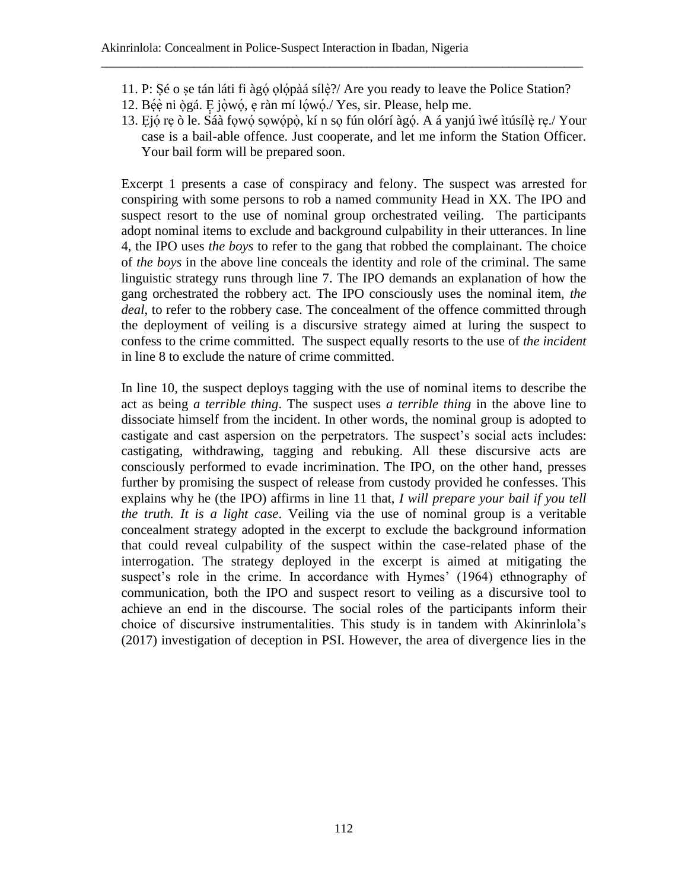11. P: Ṣé o ṣe tán láti fi àgọ́ ọlọ́pàá sílẹ̀?/ Are you ready to leave the Police Station?

\_\_\_\_\_\_\_\_\_\_\_\_\_\_\_\_\_\_\_\_\_\_\_\_\_\_\_\_\_\_\_\_\_\_\_\_\_\_\_\_\_\_\_\_\_\_\_\_\_\_\_\_\_\_\_\_\_\_\_\_\_\_\_\_\_\_\_\_\_\_\_\_\_\_\_\_\_\_

- 12. Bée ni ògá. E jòwó, e ràn mí lówó./ Yes, sir. Please, help me.
- 13. Ejó re ò le. Sáà fowó sowópò, kí n so fún olórí àgó. A á yanjú ìwé ìtúsílè re./Your case is a bail-able offence. Just cooperate, and let me inform the Station Officer. Your bail form will be prepared soon.

Excerpt 1 presents a case of conspiracy and felony. The suspect was arrested for conspiring with some persons to rob a named community Head in XX. The IPO and suspect resort to the use of nominal group orchestrated veiling. The participants adopt nominal items to exclude and background culpability in their utterances. In line 4, the IPO uses *the boys* to refer to the gang that robbed the complainant. The choice of *the boys* in the above line conceals the identity and role of the criminal. The same linguistic strategy runs through line 7. The IPO demands an explanation of how the gang orchestrated the robbery act. The IPO consciously uses the nominal item, *the deal*, to refer to the robbery case. The concealment of the offence committed through the deployment of veiling is a discursive strategy aimed at luring the suspect to confess to the crime committed. The suspect equally resorts to the use of *the incident* in line 8 to exclude the nature of crime committed.

In line 10, the suspect deploys tagging with the use of nominal items to describe the act as being *a terrible thing*. The suspect uses *a terrible thing* in the above line to dissociate himself from the incident. In other words, the nominal group is adopted to castigate and cast aspersion on the perpetrators. The suspect's social acts includes: castigating, withdrawing, tagging and rebuking. All these discursive acts are consciously performed to evade incrimination. The IPO, on the other hand, presses further by promising the suspect of release from custody provided he confesses. This explains why he (the IPO) affirms in line 11 that, *I will prepare your bail if you tell the truth. It is a light case*. Veiling via the use of nominal group is a veritable concealment strategy adopted in the excerpt to exclude the background information that could reveal culpability of the suspect within the case-related phase of the interrogation. The strategy deployed in the excerpt is aimed at mitigating the suspect's role in the crime. In accordance with Hymes' (1964) ethnography of communication, both the IPO and suspect resort to veiling as a discursive tool to achieve an end in the discourse. The social roles of the participants inform their choice of discursive instrumentalities. This study is in tandem with Akinrinlola's (2017) investigation of deception in PSI. However, the area of divergence lies in the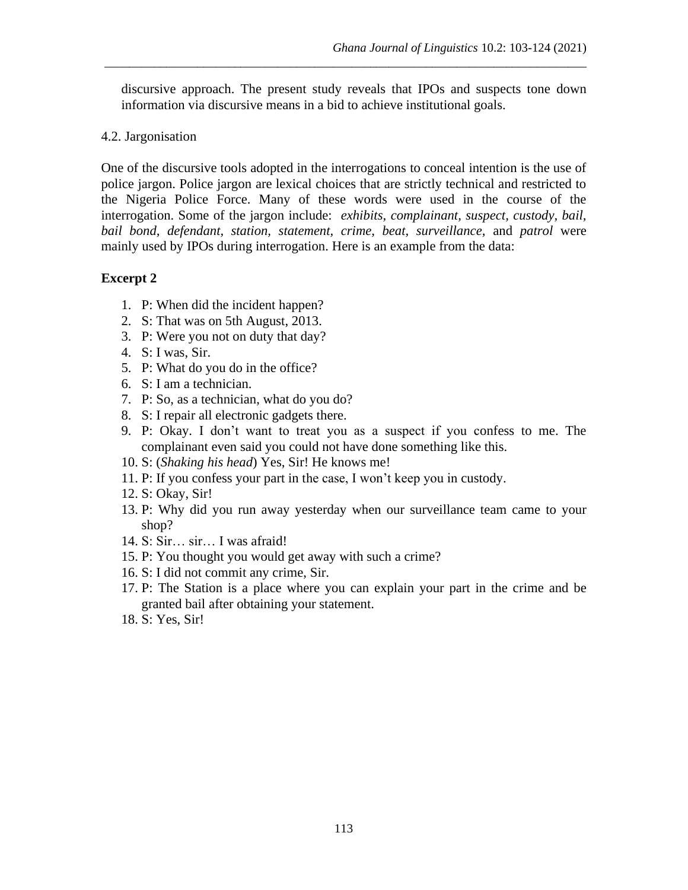discursive approach. The present study reveals that IPOs and suspects tone down information via discursive means in a bid to achieve institutional goals.

\_\_\_\_\_\_\_\_\_\_\_\_\_\_\_\_\_\_\_\_\_\_\_\_\_\_\_\_\_\_\_\_\_\_\_\_\_\_\_\_\_\_\_\_\_\_\_\_\_\_\_\_\_\_\_\_\_\_\_\_\_\_\_\_\_\_\_\_\_\_\_\_\_\_\_\_\_\_

4.2. Jargonisation

One of the discursive tools adopted in the interrogations to conceal intention is the use of police jargon. Police jargon are lexical choices that are strictly technical and restricted to the Nigeria Police Force. Many of these words were used in the course of the interrogation. Some of the jargon include: *exhibits, complainant, suspect, custody, bail, bail bond, defendant, station, statement, crime, beat, surveillance,* and *patrol* were mainly used by IPOs during interrogation. Here is an example from the data:

### **Excerpt 2**

- 1. P: When did the incident happen?
- 2. S: That was on 5th August, 2013.
- 3. P: Were you not on duty that day?
- 4. S: I was, Sir.
- 5. P: What do you do in the office?
- 6. S: I am a technician.
- 7. P: So, as a technician, what do you do?
- 8. S: I repair all electronic gadgets there.
- 9. P: Okay. I don't want to treat you as a suspect if you confess to me. The complainant even said you could not have done something like this.
- 10. S: (*Shaking his head*) Yes, Sir! He knows me!
- 11. P: If you confess your part in the case, I won't keep you in custody.
- 12. S: Okay, Sir!
- 13. P: Why did you run away yesterday when our surveillance team came to your shop?
- 14. S: Sir… sir… I was afraid!
- 15. P: You thought you would get away with such a crime?
- 16. S: I did not commit any crime, Sir.
- 17. P: The Station is a place where you can explain your part in the crime and be granted bail after obtaining your statement.
- 18. S: Yes, Sir!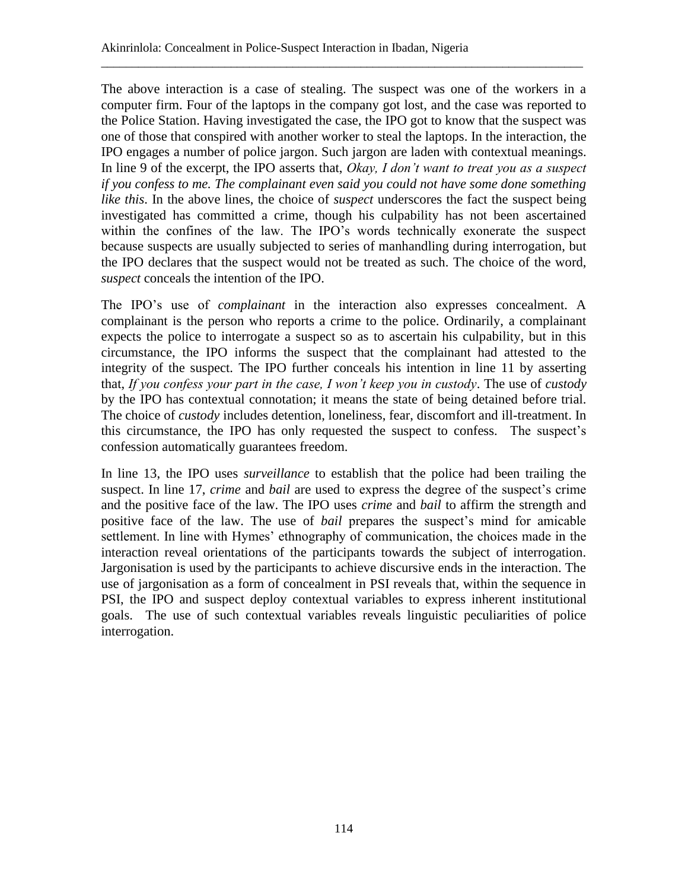The above interaction is a case of stealing. The suspect was one of the workers in a computer firm. Four of the laptops in the company got lost, and the case was reported to the Police Station. Having investigated the case, the IPO got to know that the suspect was one of those that conspired with another worker to steal the laptops. In the interaction, the IPO engages a number of police jargon. Such jargon are laden with contextual meanings. In line 9 of the excerpt, the IPO asserts that, *Okay, I don't want to treat you as a suspect if you confess to me. The complainant even said you could not have some done something like this*. In the above lines, the choice of *suspect* underscores the fact the suspect being investigated has committed a crime, though his culpability has not been ascertained within the confines of the law. The IPO's words technically exonerate the suspect because suspects are usually subjected to series of manhandling during interrogation, but the IPO declares that the suspect would not be treated as such. The choice of the word, *suspect* conceals the intention of the IPO.

\_\_\_\_\_\_\_\_\_\_\_\_\_\_\_\_\_\_\_\_\_\_\_\_\_\_\_\_\_\_\_\_\_\_\_\_\_\_\_\_\_\_\_\_\_\_\_\_\_\_\_\_\_\_\_\_\_\_\_\_\_\_\_\_\_\_\_\_\_\_\_\_\_\_\_\_\_\_

The IPO's use of *complainant* in the interaction also expresses concealment. A complainant is the person who reports a crime to the police. Ordinarily, a complainant expects the police to interrogate a suspect so as to ascertain his culpability, but in this circumstance, the IPO informs the suspect that the complainant had attested to the integrity of the suspect. The IPO further conceals his intention in line 11 by asserting that, *If you confess your part in the case, I won't keep you in custody*. The use of *custody* by the IPO has contextual connotation; it means the state of being detained before trial. The choice of *custody* includes detention, loneliness, fear, discomfort and ill-treatment. In this circumstance, the IPO has only requested the suspect to confess. The suspect's confession automatically guarantees freedom.

In line 13, the IPO uses *surveillance* to establish that the police had been trailing the suspect. In line 17, *crime* and *bail* are used to express the degree of the suspect's crime and the positive face of the law. The IPO uses *crime* and *bail* to affirm the strength and positive face of the law. The use of *bail* prepares the suspect's mind for amicable settlement. In line with Hymes' ethnography of communication, the choices made in the interaction reveal orientations of the participants towards the subject of interrogation. Jargonisation is used by the participants to achieve discursive ends in the interaction. The use of jargonisation as a form of concealment in PSI reveals that, within the sequence in PSI, the IPO and suspect deploy contextual variables to express inherent institutional goals. The use of such contextual variables reveals linguistic peculiarities of police interrogation.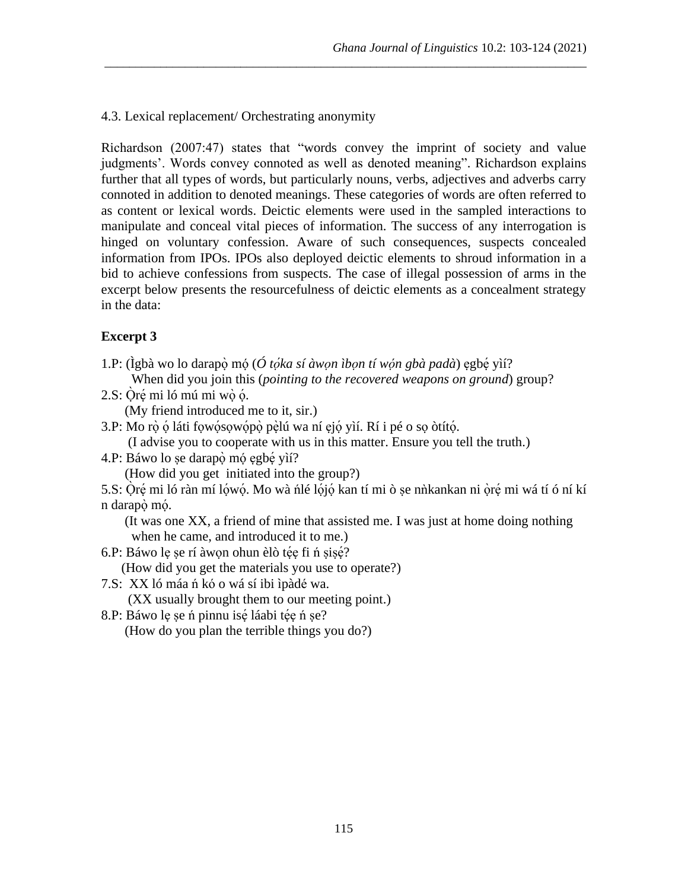#### 4.3. Lexical replacement/ Orchestrating anonymity

Richardson (2007:47) states that "words convey the imprint of society and value judgments'. Words convey connoted as well as denoted meaning". Richardson explains further that all types of words, but particularly nouns, verbs, adjectives and adverbs carry connoted in addition to denoted meanings. These categories of words are often referred to as content or lexical words. Deictic elements were used in the sampled interactions to manipulate and conceal vital pieces of information. The success of any interrogation is hinged on voluntary confession. Aware of such consequences, suspects concealed information from IPOs. IPOs also deployed deictic elements to shroud information in a bid to achieve confessions from suspects. The case of illegal possession of arms in the excerpt below presents the resourcefulness of deictic elements as a concealment strategy in the data:

\_\_\_\_\_\_\_\_\_\_\_\_\_\_\_\_\_\_\_\_\_\_\_\_\_\_\_\_\_\_\_\_\_\_\_\_\_\_\_\_\_\_\_\_\_\_\_\_\_\_\_\_\_\_\_\_\_\_\_\_\_\_\_\_\_\_\_\_\_\_\_\_\_\_\_\_\_\_

### **Excerpt 3**

- 1.P: (Ìgbà wo lo darapọ̀ mó (*Ó tọ́ka sí àwọn ìbọn tí wọ́n gbà padà*) egbẹ́ yìí? When did you join this (*pointing to the recovered weapons on ground*) group?
- 2.S: Ọ̀rẹ́ mi ló mú mi wọ̀ ọ́. (My friend introduced me to it, sir.)
- 3.P: Mo rọ̀ ọ́ láti fọwọ́sọwọ́pọ̀ pẹ̀ lú wa ní ẹjọ́ yìí. Rí i pé o sọ òtítọ́ .
- (I advise you to cooperate with us in this matter. Ensure you tell the truth.)
- 4.P: Báwo lo se darapọ̀ mó egbé yìí?

(How did you get initiated into the group?)

5.S: Ọ̀rẹ́mi ló ràn mí lọ́wọ́ . Mo wà ńlé lọ́ jọ́ kan tí mi ò ṣe nǹkankan ni ọ̀rẹ́ mi wá tí ó ní kí n darapọ̀ mọ́. ́

 (It was one XX, a friend of mine that assisted me. I was just at home doing nothing when he came, and introduced it to me.)

- 6.P: Báwo le se rí àwon ohun èlò tée fi n sisé? (How did you get the materials you use to operate?)
- 7.S: XX ló máa ń kó o wá sí ibi ìpàdé wa.

(XX usually brought them to our meeting point.)

8.P: Báwo lẹ șe ń pinnu isé láabi tée ń șe?

(How do you plan the terrible things you do?)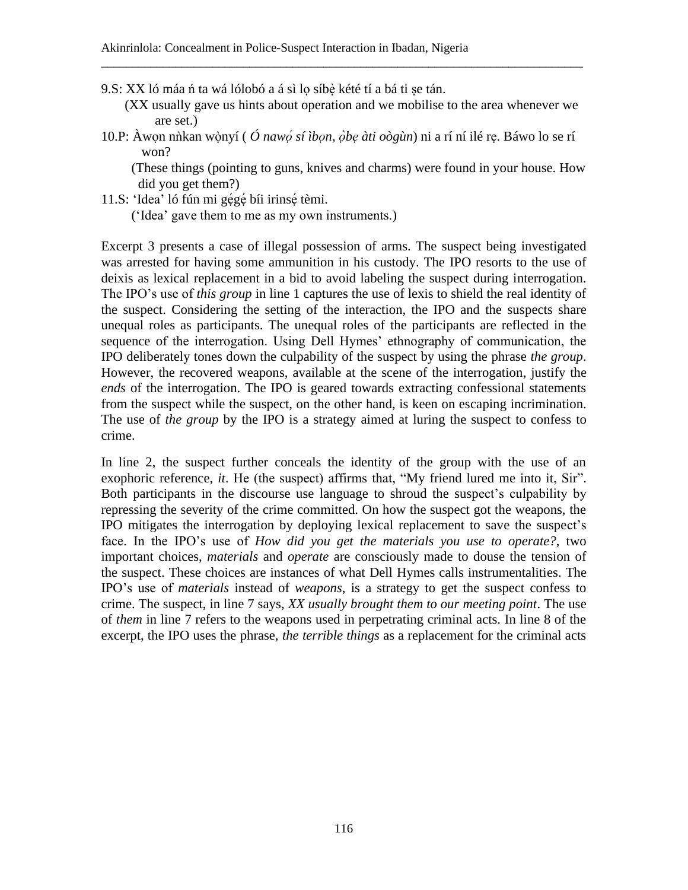- 9.S: XX ló máa ń ta wá lólobó a á sì lo síbè kété tí a bá ti se tán.
	- (XX usually gave us hints about operation and we mobilise to the area whenever we are set.)
- 10.P: Àwọn nǹkan wònyí ( ̣ *Ó nawọ̣́ sí ìbọn, ọ̀bẹ àti oògùn*) ni a rí ní ilé rẹ. Báwo lo se rí won?

\_\_\_\_\_\_\_\_\_\_\_\_\_\_\_\_\_\_\_\_\_\_\_\_\_\_\_\_\_\_\_\_\_\_\_\_\_\_\_\_\_\_\_\_\_\_\_\_\_\_\_\_\_\_\_\_\_\_\_\_\_\_\_\_\_\_\_\_\_\_\_\_\_\_\_\_\_\_

 (These things (pointing to guns, knives and charms) were found in your house. How did you get them?)

11.S: 'Idea' ló fún mi gégé bíi irinsé tèmi.

('Idea' gave them to me as my own instruments.)

Excerpt 3 presents a case of illegal possession of arms. The suspect being investigated was arrested for having some ammunition in his custody. The IPO resorts to the use of deixis as lexical replacement in a bid to avoid labeling the suspect during interrogation. The IPO's use of *this group* in line 1 captures the use of lexis to shield the real identity of the suspect. Considering the setting of the interaction, the IPO and the suspects share unequal roles as participants. The unequal roles of the participants are reflected in the sequence of the interrogation. Using Dell Hymes' ethnography of communication, the IPO deliberately tones down the culpability of the suspect by using the phrase *the group*. However, the recovered weapons, available at the scene of the interrogation, justify the *ends* of the interrogation. The IPO is geared towards extracting confessional statements from the suspect while the suspect, on the other hand, is keen on escaping incrimination. The use of *the group* by the IPO is a strategy aimed at luring the suspect to confess to crime.

In line 2, the suspect further conceals the identity of the group with the use of an exophoric reference, *it*. He (the suspect) affirms that, "My friend lured me into it, Sir". Both participants in the discourse use language to shroud the suspect's culpability by repressing the severity of the crime committed. On how the suspect got the weapons, the IPO mitigates the interrogation by deploying lexical replacement to save the suspect's face. In the IPO's use of *How did you get the materials you use to operate?*, two important choices, *materials* and *operate* are consciously made to douse the tension of the suspect. These choices are instances of what Dell Hymes calls instrumentalities. The IPO's use of *materials* instead of *weapons*, is a strategy to get the suspect confess to crime. The suspect, in line 7 says, *XX usually brought them to our meeting point*. The use of *them* in line 7 refers to the weapons used in perpetrating criminal acts. In line 8 of the excerpt, the IPO uses the phrase, *the terrible things* as a replacement for the criminal acts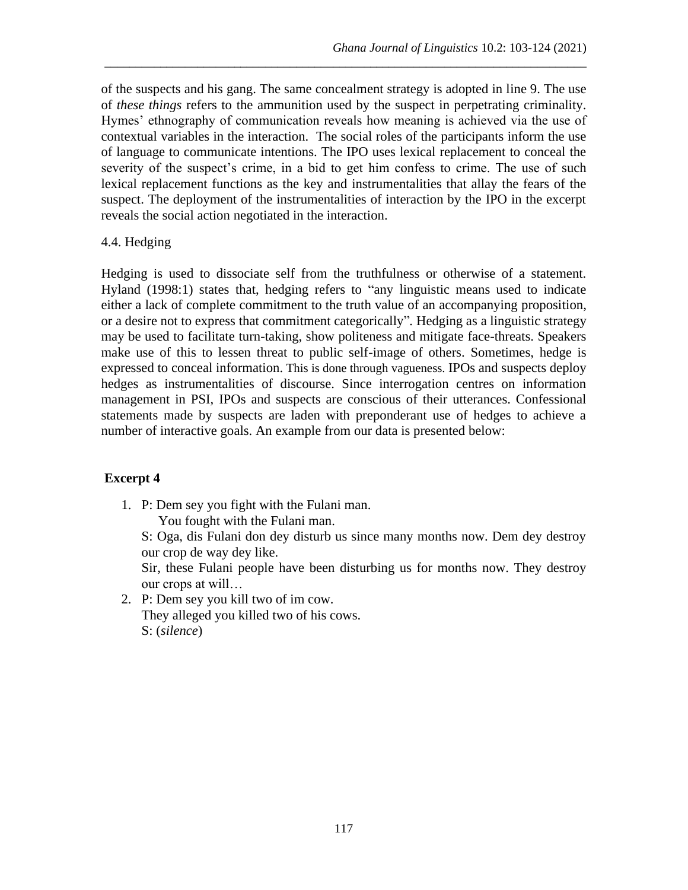of the suspects and his gang. The same concealment strategy is adopted in line 9. The use of *these things* refers to the ammunition used by the suspect in perpetrating criminality. Hymes' ethnography of communication reveals how meaning is achieved via the use of contextual variables in the interaction. The social roles of the participants inform the use of language to communicate intentions. The IPO uses lexical replacement to conceal the severity of the suspect's crime, in a bid to get him confess to crime. The use of such lexical replacement functions as the key and instrumentalities that allay the fears of the suspect. The deployment of the instrumentalities of interaction by the IPO in the excerpt reveals the social action negotiated in the interaction.

\_\_\_\_\_\_\_\_\_\_\_\_\_\_\_\_\_\_\_\_\_\_\_\_\_\_\_\_\_\_\_\_\_\_\_\_\_\_\_\_\_\_\_\_\_\_\_\_\_\_\_\_\_\_\_\_\_\_\_\_\_\_\_\_\_\_\_\_\_\_\_\_\_\_\_\_\_\_

### 4.4. Hedging

Hedging is used to dissociate self from the truthfulness or otherwise of a statement. Hyland (1998:1) states that, hedging refers to "any linguistic means used to indicate either a lack of complete commitment to the truth value of an accompanying proposition, or a desire not to express that commitment categorically"*.* Hedging as a linguistic strategy may be used to facilitate turn-taking, show politeness and mitigate face-threats. Speakers make use of this to lessen threat to public self-image of others. Sometimes, hedge is expressed to conceal information. This is done through vagueness. IPOs and suspects deploy hedges as instrumentalities of discourse. Since interrogation centres on information management in PSI, IPOs and suspects are conscious of their utterances. Confessional statements made by suspects are laden with preponderant use of hedges to achieve a number of interactive goals. An example from our data is presented below:

## **Excerpt 4**

1. P: Dem sey you fight with the Fulani man. You fought with the Fulani man.

S: Oga, dis Fulani don dey disturb us since many months now. Dem dey destroy our crop de way dey like.

Sir, these Fulani people have been disturbing us for months now. They destroy our crops at will…

2. P: Dem sey you kill two of im cow. They alleged you killed two of his cows. S: (*silence*)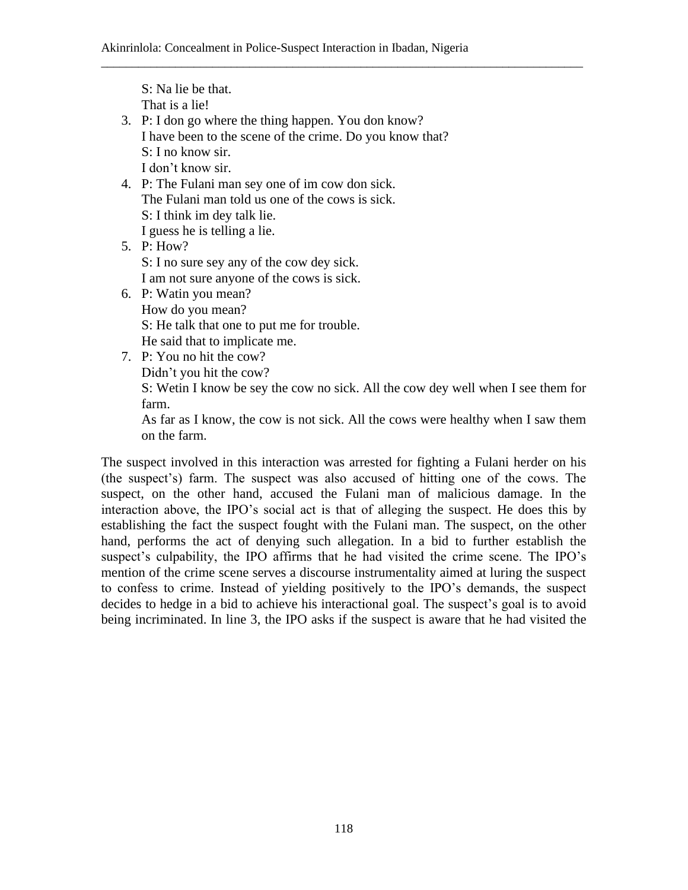\_\_\_\_\_\_\_\_\_\_\_\_\_\_\_\_\_\_\_\_\_\_\_\_\_\_\_\_\_\_\_\_\_\_\_\_\_\_\_\_\_\_\_\_\_\_\_\_\_\_\_\_\_\_\_\_\_\_\_\_\_\_\_\_\_\_\_\_\_\_\_\_\_\_\_\_\_\_

S: Na lie be that. That is a lie! 3. P: I don go where the thing happen. You don know? I have been to the scene of the crime. Do you know that? S: I no know sir. I don't know sir. 4. P: The Fulani man sey one of im cow don sick. The Fulani man told us one of the cows is sick. S: I think im dey talk lie. I guess he is telling a lie. 5. P: How? S: I no sure sey any of the cow dey sick. I am not sure anyone of the cows is sick. 6. P: Watin you mean? How do you mean? S: He talk that one to put me for trouble. He said that to implicate me. 7. P: You no hit the cow? Didn't you hit the cow?

S: Wetin I know be sey the cow no sick. All the cow dey well when I see them for farm.

As far as I know, the cow is not sick. All the cows were healthy when I saw them on the farm.

The suspect involved in this interaction was arrested for fighting a Fulani herder on his (the suspect's) farm. The suspect was also accused of hitting one of the cows. The suspect, on the other hand, accused the Fulani man of malicious damage. In the interaction above, the IPO's social act is that of alleging the suspect. He does this by establishing the fact the suspect fought with the Fulani man. The suspect, on the other hand, performs the act of denying such allegation. In a bid to further establish the suspect's culpability, the IPO affirms that he had visited the crime scene. The IPO's mention of the crime scene serves a discourse instrumentality aimed at luring the suspect to confess to crime. Instead of yielding positively to the IPO's demands, the suspect decides to hedge in a bid to achieve his interactional goal. The suspect's goal is to avoid being incriminated. In line 3, the IPO asks if the suspect is aware that he had visited the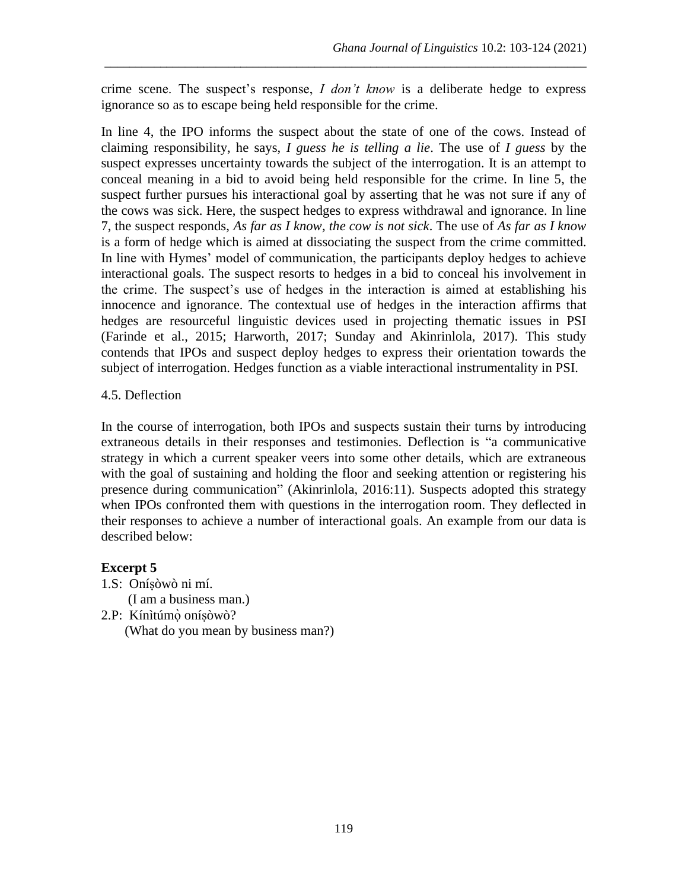crime scene. The suspect's response, *I don't know* is a deliberate hedge to express ignorance so as to escape being held responsible for the crime.

\_\_\_\_\_\_\_\_\_\_\_\_\_\_\_\_\_\_\_\_\_\_\_\_\_\_\_\_\_\_\_\_\_\_\_\_\_\_\_\_\_\_\_\_\_\_\_\_\_\_\_\_\_\_\_\_\_\_\_\_\_\_\_\_\_\_\_\_\_\_\_\_\_\_\_\_\_\_

In line 4, the IPO informs the suspect about the state of one of the cows. Instead of claiming responsibility, he says, *I guess he is telling a lie*. The use of *I guess* by the suspect expresses uncertainty towards the subject of the interrogation. It is an attempt to conceal meaning in a bid to avoid being held responsible for the crime. In line 5, the suspect further pursues his interactional goal by asserting that he was not sure if any of the cows was sick. Here, the suspect hedges to express withdrawal and ignorance. In line 7, the suspect responds, *As far as I know, the cow is not sick*. The use of *As far as I know* is a form of hedge which is aimed at dissociating the suspect from the crime committed. In line with Hymes' model of communication, the participants deploy hedges to achieve interactional goals. The suspect resorts to hedges in a bid to conceal his involvement in the crime. The suspect's use of hedges in the interaction is aimed at establishing his innocence and ignorance. The contextual use of hedges in the interaction affirms that hedges are resourceful linguistic devices used in projecting thematic issues in PSI (Farinde et al., 2015; Harworth, 2017; Sunday and Akinrinlola, 2017). This study contends that IPOs and suspect deploy hedges to express their orientation towards the subject of interrogation. Hedges function as a viable interactional instrumentality in PSI.

## 4.5. Deflection

In the course of interrogation, both IPOs and suspects sustain their turns by introducing extraneous details in their responses and testimonies. Deflection is "a communicative strategy in which a current speaker veers into some other details, which are extraneous with the goal of sustaining and holding the floor and seeking attention or registering his presence during communication" (Akinrinlola, 2016:11). Suspects adopted this strategy when IPOs confronted them with questions in the interrogation room. They deflected in their responses to achieve a number of interactional goals. An example from our data is described below:

# **Excerpt 5**

1.S: Oníṣòwò ni mí.

(I am a business man.)

2.P: Kínìtúmọ̀ oníṣòwò?

(What do you mean by business man?)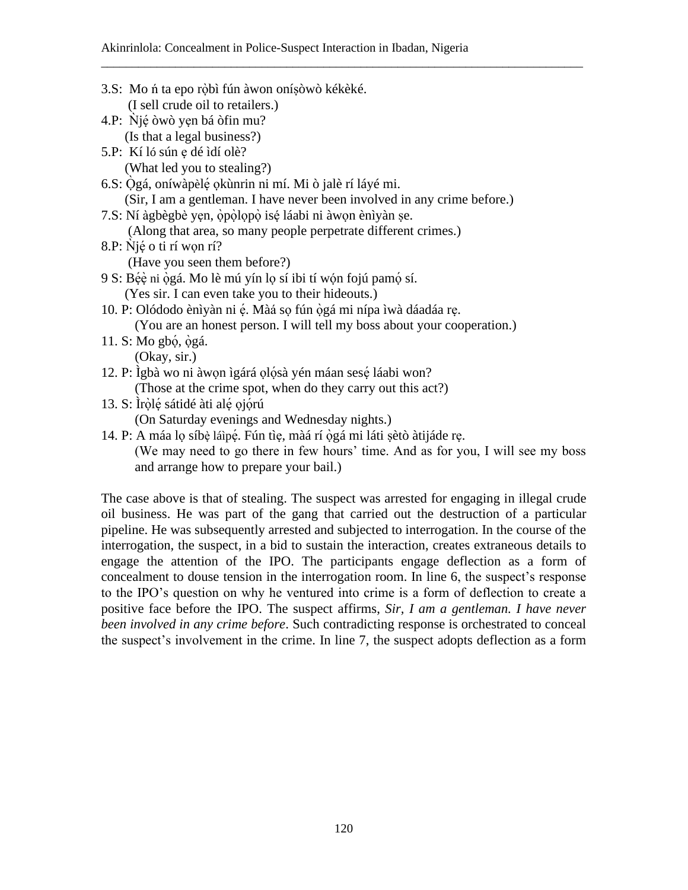\_\_\_\_\_\_\_\_\_\_\_\_\_\_\_\_\_\_\_\_\_\_\_\_\_\_\_\_\_\_\_\_\_\_\_\_\_\_\_\_\_\_\_\_\_\_\_\_\_\_\_\_\_\_\_\_\_\_\_\_\_\_\_\_\_\_\_\_\_\_\_\_\_\_\_\_\_\_

- 3.S: Mo ń ta epo rọ̀bì fún àwon oníṣòwò kékèké. (I sell crude oil to retailers.) 4.P:  $\dot{N}$ jệ òwò yẹn bá òfin mu? (Is that a legal business?) 5.P: Kí ló sún ẹ dé ìdí olè? (What led you to stealing?) 6.S: Ọ̀gá, oníwàpèlẹ́ ọkùnrin ni mí. Mi ò jalè rí láyé mi. (Sir, I am a gentleman. I have never been involved in any crime before.) 7.S: Ní àgbègbè yẹn, ọ̀pọ̀ lọpọ̀ isé ̣láabi ni àwọn ènìyàn ṣe. (Along that area, so many people perpetrate different crimes.)  $8.P: Njé o ti rí won rí?$  (Have you seen them before?) 9 S: Béè ni ògá. Mo lè mú yín lọ sí ibi tí wón fojú pamó sí. (Yes sir. I can even take you to their hideouts.) 10. P: Olódodo ènìyàn ni ẹ́ . Màá sọ fún ọ̀gá mi nípa ìwà dáadáa rẹ. (You are an honest person. I will tell my boss about your cooperation.) 11. S: Mo gbó, ògá. (Okay, sir.) 12. P: Ìgbà wo ni àwọn ìgárá ọlọ́sà yén máan sesẹ́ láabi won? (Those at the crime spot, when do they carry out this act?) 13. S: Ìrọ̀lẹ́ sátidé àti alẹ́ ojọ́rú (On Saturday evenings and Wednesday nights.) 14. P: A máa lọ síbè láìpé. Fún tìe, màá rí ògá mi láti sètò àtijáde rẹ.
- (We may need to go there in few hours' time. And as for you, I will see my boss and arrange how to prepare your bail.)

The case above is that of stealing. The suspect was arrested for engaging in illegal crude oil business. He was part of the gang that carried out the destruction of a particular pipeline. He was subsequently arrested and subjected to interrogation. In the course of the interrogation, the suspect, in a bid to sustain the interaction, creates extraneous details to engage the attention of the IPO. The participants engage deflection as a form of concealment to douse tension in the interrogation room. In line 6, the suspect's response to the IPO's question on why he ventured into crime is a form of deflection to create a positive face before the IPO. The suspect affirms, *Sir, I am a gentleman. I have never been involved in any crime before*. Such contradicting response is orchestrated to conceal the suspect's involvement in the crime. In line 7, the suspect adopts deflection as a form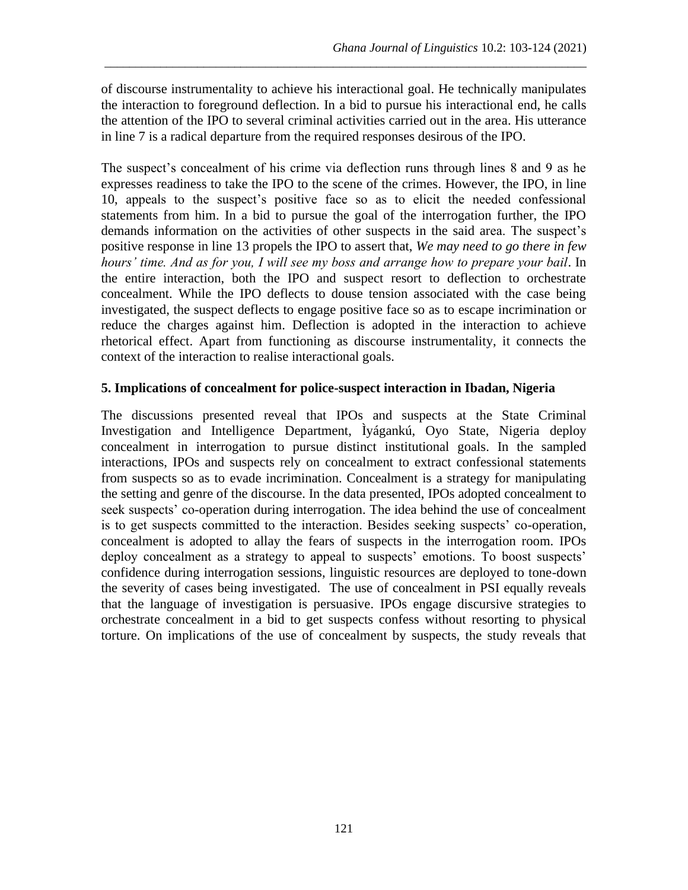of discourse instrumentality to achieve his interactional goal. He technically manipulates the interaction to foreground deflection. In a bid to pursue his interactional end, he calls the attention of the IPO to several criminal activities carried out in the area. His utterance in line 7 is a radical departure from the required responses desirous of the IPO.

\_\_\_\_\_\_\_\_\_\_\_\_\_\_\_\_\_\_\_\_\_\_\_\_\_\_\_\_\_\_\_\_\_\_\_\_\_\_\_\_\_\_\_\_\_\_\_\_\_\_\_\_\_\_\_\_\_\_\_\_\_\_\_\_\_\_\_\_\_\_\_\_\_\_\_\_\_\_

The suspect's concealment of his crime via deflection runs through lines 8 and 9 as he expresses readiness to take the IPO to the scene of the crimes. However, the IPO, in line 10, appeals to the suspect's positive face so as to elicit the needed confessional statements from him. In a bid to pursue the goal of the interrogation further, the IPO demands information on the activities of other suspects in the said area. The suspect's positive response in line 13 propels the IPO to assert that, *We may need to go there in few hours' time. And as for you, I will see my boss and arrange how to prepare your bail*. In the entire interaction, both the IPO and suspect resort to deflection to orchestrate concealment. While the IPO deflects to douse tension associated with the case being investigated, the suspect deflects to engage positive face so as to escape incrimination or reduce the charges against him. Deflection is adopted in the interaction to achieve rhetorical effect. Apart from functioning as discourse instrumentality, it connects the context of the interaction to realise interactional goals.

### **5. Implications of concealment for police-suspect interaction in Ibadan, Nigeria**

The discussions presented reveal that IPOs and suspects at the State Criminal Investigation and Intelligence Department, Ìyágankú, Oyo State, Nigeria deploy concealment in interrogation to pursue distinct institutional goals. In the sampled interactions, IPOs and suspects rely on concealment to extract confessional statements from suspects so as to evade incrimination. Concealment is a strategy for manipulating the setting and genre of the discourse. In the data presented, IPOs adopted concealment to seek suspects' co-operation during interrogation. The idea behind the use of concealment is to get suspects committed to the interaction. Besides seeking suspects' co-operation, concealment is adopted to allay the fears of suspects in the interrogation room. IPOs deploy concealment as a strategy to appeal to suspects' emotions. To boost suspects' confidence during interrogation sessions, linguistic resources are deployed to tone-down the severity of cases being investigated. The use of concealment in PSI equally reveals that the language of investigation is persuasive. IPOs engage discursive strategies to orchestrate concealment in a bid to get suspects confess without resorting to physical torture. On implications of the use of concealment by suspects, the study reveals that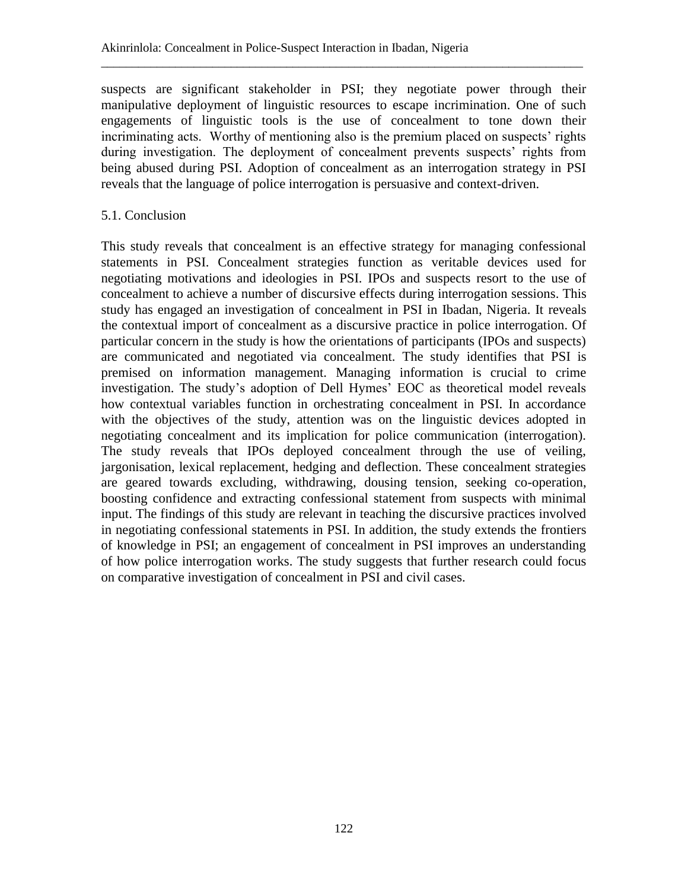suspects are significant stakeholder in PSI; they negotiate power through their manipulative deployment of linguistic resources to escape incrimination. One of such engagements of linguistic tools is the use of concealment to tone down their incriminating acts. Worthy of mentioning also is the premium placed on suspects' rights during investigation. The deployment of concealment prevents suspects' rights from being abused during PSI. Adoption of concealment as an interrogation strategy in PSI reveals that the language of police interrogation is persuasive and context-driven.

\_\_\_\_\_\_\_\_\_\_\_\_\_\_\_\_\_\_\_\_\_\_\_\_\_\_\_\_\_\_\_\_\_\_\_\_\_\_\_\_\_\_\_\_\_\_\_\_\_\_\_\_\_\_\_\_\_\_\_\_\_\_\_\_\_\_\_\_\_\_\_\_\_\_\_\_\_\_

### 5.1. Conclusion

This study reveals that concealment is an effective strategy for managing confessional statements in PSI. Concealment strategies function as veritable devices used for negotiating motivations and ideologies in PSI. IPOs and suspects resort to the use of concealment to achieve a number of discursive effects during interrogation sessions. This study has engaged an investigation of concealment in PSI in Ibadan, Nigeria. It reveals the contextual import of concealment as a discursive practice in police interrogation. Of particular concern in the study is how the orientations of participants (IPOs and suspects) are communicated and negotiated via concealment. The study identifies that PSI is premised on information management. Managing information is crucial to crime investigation. The study's adoption of Dell Hymes' EOC as theoretical model reveals how contextual variables function in orchestrating concealment in PSI. In accordance with the objectives of the study, attention was on the linguistic devices adopted in negotiating concealment and its implication for police communication (interrogation). The study reveals that IPOs deployed concealment through the use of veiling, jargonisation, lexical replacement, hedging and deflection. These concealment strategies are geared towards excluding, withdrawing, dousing tension, seeking co-operation, boosting confidence and extracting confessional statement from suspects with minimal input. The findings of this study are relevant in teaching the discursive practices involved in negotiating confessional statements in PSI. In addition, the study extends the frontiers of knowledge in PSI; an engagement of concealment in PSI improves an understanding of how police interrogation works. The study suggests that further research could focus on comparative investigation of concealment in PSI and civil cases.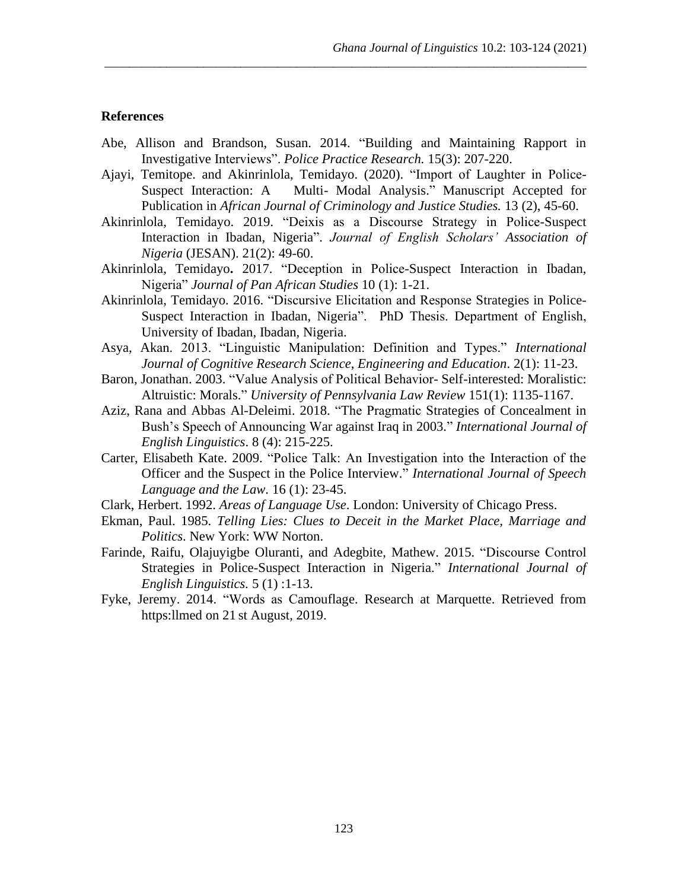#### **References**

Abe, Allison and Brandson, Susan. 2014. "Building and Maintaining Rapport in Investigative Interviews". *Police Practice Research.* 15(3): 207-220.

\_\_\_\_\_\_\_\_\_\_\_\_\_\_\_\_\_\_\_\_\_\_\_\_\_\_\_\_\_\_\_\_\_\_\_\_\_\_\_\_\_\_\_\_\_\_\_\_\_\_\_\_\_\_\_\_\_\_\_\_\_\_\_\_\_\_\_\_\_\_\_\_\_\_\_\_\_\_

- Ajayi, Temitope. and Akinrinlola, Temidayo. (2020). "Import of Laughter in Police-Suspect Interaction: A Multi- Modal Analysis." Manuscript Accepted for Publication in *African Journal of Criminology and Justice Studies.* 13 (2), 45-60.
- Akinrinlola, Temidayo. 2019. "Deixis as a Discourse Strategy in Police-Suspect Interaction in Ibadan, Nigeria". *Journal of English Scholars' Association of Nigeria* (JESAN). 21(2): 49-60.
- Akinrinlola, Temidayo**.** 2017. "Deception in Police-Suspect Interaction in Ibadan, Nigeria" *Journal of Pan African Studies* 10 (1): 1-21.
- Akinrinlola, Temidayo. 2016. "Discursive Elicitation and Response Strategies in Police-Suspect Interaction in Ibadan, Nigeria". PhD Thesis. Department of English, University of Ibadan, Ibadan, Nigeria.
- Asya, Akan. 2013. "Linguistic Manipulation: Definition and Types." *International Journal of Cognitive Research Science, Engineering and Education*. 2(1): 11-23.
- Baron, Jonathan. 2003. "Value Analysis of Political Behavior- Self-interested: Moralistic: Altruistic: Morals." *University of Pennsylvania Law Review* 151(1): 1135-1167.
- Aziz, Rana and Abbas Al-Deleimi. 2018. "The Pragmatic Strategies of Concealment in Bush's Speech of Announcing War against Iraq in 2003." *International Journal of English Linguistics*. 8 (4): 215-225.
- Carter, Elisabeth Kate. 2009. "Police Talk: An Investigation into the Interaction of the Officer and the Suspect in the Police Interview." *International Journal of Speech Language and the Law.* 16 (1): 23-45.
- Clark, Herbert. 1992. *Areas of Language Use*. London: University of Chicago Press.
- Ekman, Paul. 1985. *Telling Lies: Clues to Deceit in the Market Place, Marriage and Politics*. New York: WW Norton.
- Farinde, Raifu, Olajuyigbe Oluranti, and Adegbite, Mathew. 2015. "Discourse Control Strategies in Police-Suspect Interaction in Nigeria." *International Journal of English Linguistics.* 5 (1) :1-13.
- Fyke, Jeremy. 2014. "Words as Camouflage. Research at Marquette. Retrieved from https:llmed on 21 st August, 2019.